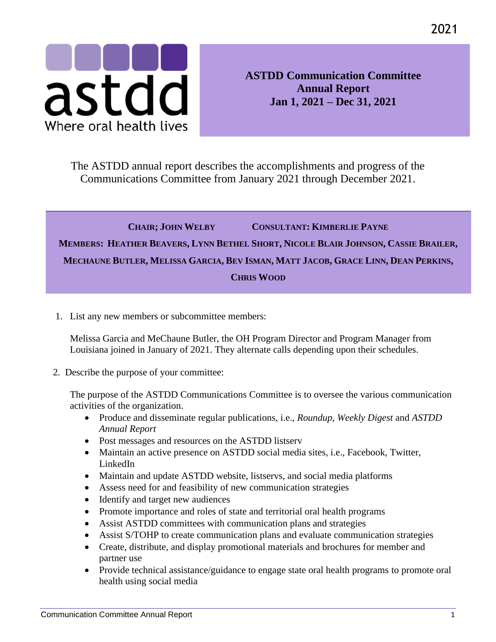

**ASTDD Communication Committee Annual Report Jan 1, 2021 – Dec 31, 2021**

The ASTDD annual report describes the accomplishments and progress of the Communications Committee from January 2021 through December 2021.

## **CHAIR; JOHN WELBY CONSULTANT: KIMBERLIE PAYNE** MEMBERS: HEATHER BEAVERS, LYNN BETHEL SHORT, NICOLE BLAIR JOHNSON, CASSIE BRAILER, MECHAUNE BUTLER, MELISSA GARCIA, BEV ISMAN, MATT JACOB, GRACE LINN, DEAN PERKINS, **CHRIS WOOD**

1. List any new members or subcommittee members:

Melissa Garcia and MeChaune Butler, the OH Program Director and Program Manager from Louisiana joined in January of 2021. They alternate calls depending upon their schedules.

2. Describe the purpose of your committee:

The purpose of the ASTDD Communications Committee is to oversee the various communication activities of the organization.

- Produce and disseminate regular publications, i.e., *Roundup*, *Weekly Digest* and *ASTDD Annual Report*
- Post messages and resources on the ASTDD listserv
- Maintain an active presence on ASTDD social media sites, i.e., Facebook, Twitter, LinkedIn
- Maintain and update ASTDD website, listservs, and social media platforms
- Assess need for and feasibility of new communication strategies
- Identify and target new audiences
- Promote importance and roles of state and territorial oral health programs
- Assist ASTDD committees with communication plans and strategies
- Assist S/TOHP to create communication plans and evaluate communication strategies
- Create, distribute, and display promotional materials and brochures for member and partner use
- Provide technical assistance/guidance to engage state oral health programs to promote oral health using social media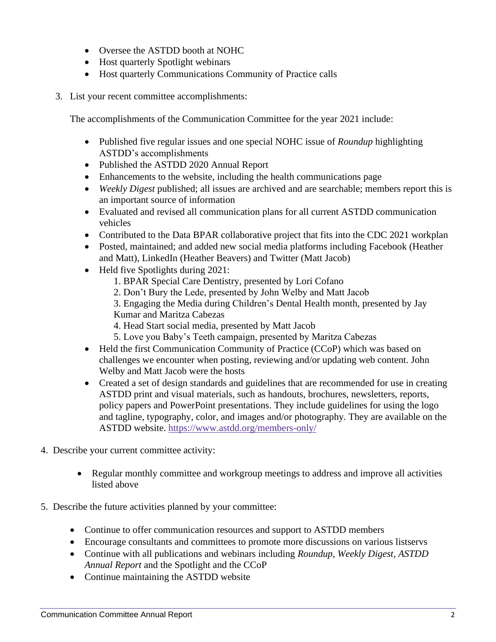- Oversee the ASTDD booth at NOHC
- Host quarterly Spotlight webinars
- Host quarterly Communications Community of Practice calls
- 3. List your recent committee accomplishments:

The accomplishments of the Communication Committee for the year 2021 include:

- Published five regular issues and one special NOHC issue of *Roundup* highlighting ASTDD's accomplishments
- Published the ASTDD 2020 Annual Report
- Enhancements to the website, including the health communications page
- *Weekly Digest* published; all issues are archived and are searchable; members report this is an important source of information
- Evaluated and revised all communication plans for all current ASTDD communication vehicles
- Contributed to the Data BPAR collaborative project that fits into the CDC 2021 workplan
- Posted, maintained; and added new social media platforms including Facebook (Heather and Matt), LinkedIn (Heather Beavers) and Twitter (Matt Jacob)
- Held five Spotlights during 2021:
	- 1. BPAR Special Care Dentistry, presented by Lori Cofano
	- 2. Don't Bury the Lede, presented by John Welby and Matt Jacob
	- 3. Engaging the Media during Children's Dental Health month, presented by Jay Kumar and Maritza Cabezas
	- 4. Head Start social media, presented by Matt Jacob
	- 5. Love you Baby's Teeth campaign, presented by Maritza Cabezas
- Held the first Communication Community of Practice (CCoP) which was based on challenges we encounter when posting, reviewing and/or updating web content. John Welby and Matt Jacob were the hosts
- Created a set of design standards and guidelines that are recommended for use in creating ASTDD print and visual materials, such as handouts, brochures, newsletters, reports, policy papers and PowerPoint presentations. They include guidelines for using the logo and tagline, typography, color, and images and/or photography. They are available on the ASTDD website.<https://www.astdd.org/members-only/>
- 4. Describe your current committee activity:
	- Regular monthly committee and workgroup meetings to address and improve all activities listed above
- 5. Describe the future activities planned by your committee:
	- Continue to offer communication resources and support to ASTDD members
	- Encourage consultants and committees to promote more discussions on various listservs
	- Continue with all publications and webinars including *Roundup*, *Weekly Digest, ASTDD Annual Report* and the Spotlight and the CCoP
	- Continue maintaining the ASTDD website